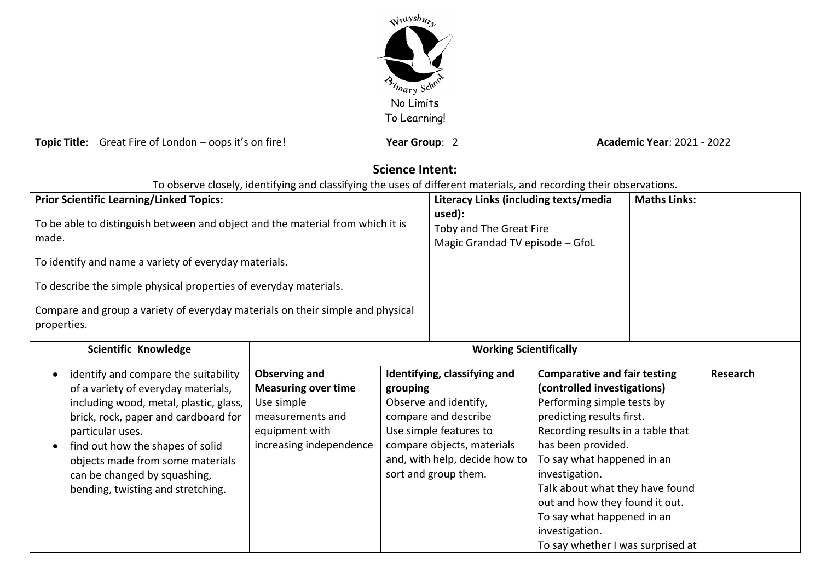

**Topic Title**: Great Fire of London – oops it's on fire! **Year Group: 2 Year Group**: 2 **Academic Year**: 2021 - 2022

# **Science Intent:**

| <b>Prior Scientific Learning/Linked Topics:</b><br>To be able to distinguish between and object and the material from which it is<br>made.<br>To identify and name a variety of everyday materials.<br>To describe the simple physical properties of everyday materials.<br>Compare and group a variety of everyday materials on their simple and physical |                                                                                                                                   |                                                                                                                                                                                                            | Literacy Links (including texts/media<br>used):<br>Toby and The Great Fire<br>Magic Grandad TV episode - GfoL |                                                                                                                                                                                                                                                                                                                                                                                                    | <b>Maths Links:</b> |                 |
|------------------------------------------------------------------------------------------------------------------------------------------------------------------------------------------------------------------------------------------------------------------------------------------------------------------------------------------------------------|-----------------------------------------------------------------------------------------------------------------------------------|------------------------------------------------------------------------------------------------------------------------------------------------------------------------------------------------------------|---------------------------------------------------------------------------------------------------------------|----------------------------------------------------------------------------------------------------------------------------------------------------------------------------------------------------------------------------------------------------------------------------------------------------------------------------------------------------------------------------------------------------|---------------------|-----------------|
| properties.<br>Scientific Knowledge                                                                                                                                                                                                                                                                                                                        | <b>Working Scientifically</b>                                                                                                     |                                                                                                                                                                                                            |                                                                                                               |                                                                                                                                                                                                                                                                                                                                                                                                    |                     |                 |
| identify and compare the suitability<br>of a variety of everyday materials,<br>including wood, metal, plastic, glass,<br>brick, rock, paper and cardboard for<br>particular uses.<br>find out how the shapes of solid<br>objects made from some materials<br>can be changed by squashing,<br>bending, twisting and stretching.                             | <b>Observing and</b><br><b>Measuring over time</b><br>Use simple<br>measurements and<br>equipment with<br>increasing independence | Identifying, classifying and<br>grouping<br>Observe and identify,<br>compare and describe<br>Use simple features to<br>compare objects, materials<br>and, with help, decide how to<br>sort and group them. |                                                                                                               | <b>Comparative and fair testing</b><br>(controlled investigations)<br>Performing simple tests by<br>predicting results first.<br>Recording results in a table that<br>has been provided.<br>To say what happened in an<br>investigation.<br>Talk about what they have found<br>out and how they found it out.<br>To say what happened in an<br>investigation.<br>To say whether I was surprised at |                     | <b>Research</b> |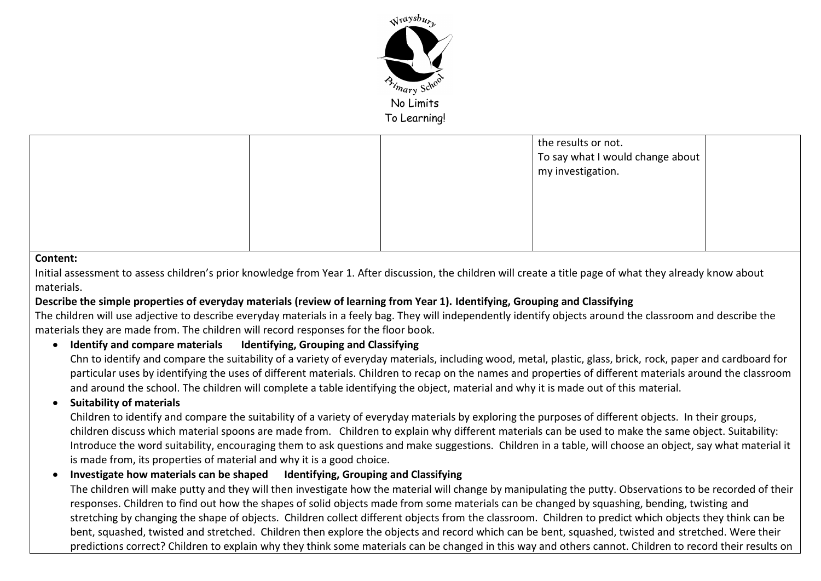

|   |  | the results or not.<br>To say what I would change about<br>my investigation. |  |
|---|--|------------------------------------------------------------------------------|--|
|   |  |                                                                              |  |
| . |  |                                                                              |  |

#### **Content:**

Initial assessment to assess children's prior knowledge from Year 1. After discussion, the children will create a title page of what they already know about materials.

### **Describe the simple properties of everyday materials (review of learning from Year 1). Identifying, Grouping and Classifying**

The children will use adjective to describe everyday materials in a feely bag. They will independently identify objects around the classroom and describe the materials they are made from. The children will record responses for the floor book.

## **Identify and compare materials Identifying, Grouping and Classifying**

Chn to identify and compare the suitability of a variety of everyday materials, including wood, metal, plastic, glass, brick, rock, paper and cardboard for particular uses by identifying the uses of different materials. Children to recap on the names and properties of different materials around the classroom and around the school. The children will complete a table identifying the object, material and why it is made out of this material.

### **•** Suitability of materials

Children to identify and compare the suitability of a variety of everyday materials by exploring the purposes of different objects. In their groups, children discuss which material spoons are made from. Children to explain why different materials can be used to make the same object. Suitability: Introduce the word suitability, encouraging them to ask questions and make suggestions. Children in a table, will choose an object, say what material it is made from, its properties of material and why it is a good choice.

### **Investigate how materials can be shaped Identifying, Grouping and Classifying**

The children will make putty and they will then investigate how the material will change by manipulating the putty. Observations to be recorded of their responses. Children to find out how the shapes of solid objects made from some materials can be changed by squashing, bending, twisting and stretching by changing the shape of objects. Children collect different objects from the classroom. Children to predict which objects they think can be bent, squashed, twisted and stretched. Children then explore the objects and record which can be bent, squashed, twisted and stretched. Were their predictions correct? Children to explain why they think some materials can be changed in this way and others cannot. Children to record their results on